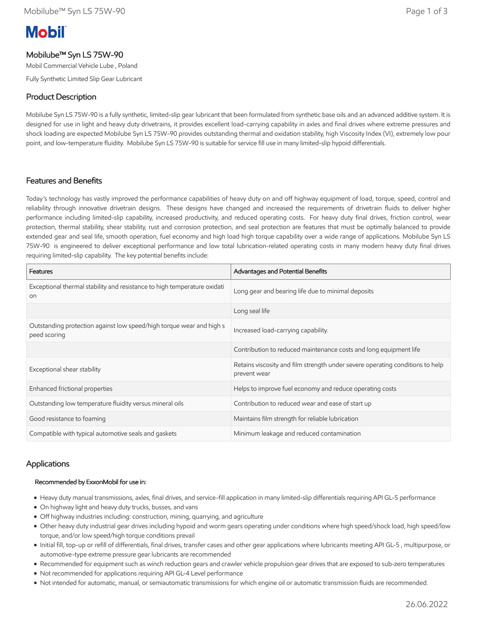# **Mobil**

# Mobilube™ Syn LS 75W-90

Mobil Commercial Vehicle Lube , Poland

Fully Synthetic Limited Slip Gear Lubricant

# Product Description

Mobilube Syn LS 75W-90 is a fully synthetic, limited-slip gear lubricant that been formulated from synthetic base oils and an advanced additive system. It is designed for use in light and heavy duty drivetrains, it provides excellent load-carrying capability in axles and final drives where extreme pressures and shock loading are expected Mobilube Syn LS 75W-90 provides outstanding thermal and oxidation stability, high Viscosity Index (VI), extremely low pour point, and low-temperature fluidity. Mobilube Syn LS 75W-90 is suitable for service fill use in many limited-slip hypoid differentials.

# Features and Benefits

Today's technology has vastly improved the performance capabilities of heavy duty on and off highway equipment of load, torque, speed, control and reliability through innovative drivetrain designs. These designs have changed and increased the requirements of drivetrain fluids to deliver higher performance including limited-slip capability, increased productivity, and reduced operating costs. For heavy duty final drives, friction control, wear protection, thermal stability, shear stability, rust and corrosion protection, and seal protection are features that must be optimally balanced to provide extended gear and seal life, smooth operation, fuel economy and high load high torque capability over a wide range of applications. Mobilube Syn LS 75W-90 is engineered to deliver exceptional performance and low total lubrication-related operating costs in many modern heavy duty final drives requiring limited-slip capability. The key potential benefits include:

| Features                                                                                   | Advantages and Potential Benefits                                                             |
|--------------------------------------------------------------------------------------------|-----------------------------------------------------------------------------------------------|
| Exceptional thermal stability and resistance to high temperature oxidati<br>O <sub>0</sub> | Long gear and bearing life due to minimal deposits                                            |
|                                                                                            | Long seal life                                                                                |
| Outstanding protection against low speed/high torque wear and high s<br>peed scoring       | Increased load-carrying capability.                                                           |
|                                                                                            | Contribution to reduced maintenance costs and long equipment life                             |
| Exceptional shear stability                                                                | Retains viscosity and film strength under severe operating conditions to help<br>prevent wear |
| Enhanced frictional properties                                                             | Helps to improve fuel economy and reduce operating costs                                      |
| Outstanding low temperature fluidity versus mineral oils                                   | Contribution to reduced wear and ease of start up                                             |
| Good resistance to foaming                                                                 | Maintains film strength for reliable lubrication                                              |
| Compatible with typical automotive seals and gaskets                                       | Minimum leakage and reduced contamination                                                     |

### Applications

#### Recommended by ExxonMobil for use in:

- Heavy duty manual transmissions, axles, final drives, and service-fill application in many limited-slip differentials requiring API GL-5 performance
- On highway light and heavy duty trucks, busses, and vans
- Off highway industries including: construction, mining, quarrying, and agriculture
- Other heavy duty industrial gear drives including hypoid and worm gears operating under conditions where high speed/shock load, high speed/low torque, and/or low speed/high torque conditions prevail
- Initial fill, top-up or refill of differentials, final drives, transfer cases and other gear applications where lubricants meeting API GL-5 , multipurpose, or automotive-type extreme pressure gear lubricants are recommended
- Recommended for equipment such as winch reduction gears and crawler vehicle propulsion gear drives that are exposed to sub-zero temperatures
- Not recommended for applications requiring API GL-4 Level performance
- Not intended for automatic, manual, or semiautomatic transmissions for which engine oil or automatic transmission fluids are recommended.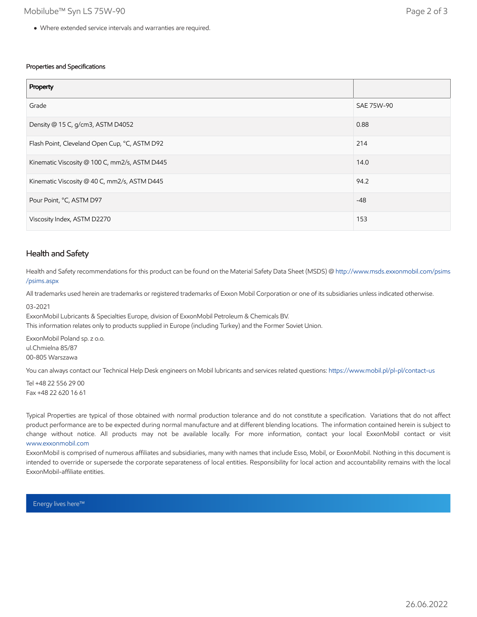#### Properties and Specifications

| Property                                      |            |
|-----------------------------------------------|------------|
| Grade                                         | SAE 75W-90 |
| Density @ 15 C, g/cm3, ASTM D4052             | 0.88       |
| Flash Point, Cleveland Open Cup, °C, ASTM D92 | 214        |
| Kinematic Viscosity @ 100 C, mm2/s, ASTM D445 | 14.0       |
| Kinematic Viscosity @ 40 C, mm2/s, ASTM D445  | 94.2       |
| Pour Point, °C, ASTM D97                      | $-48$      |
| Viscosity Index, ASTM D2270                   | 153        |

#### Health and Safety

Health and Safety recommendations for this product can be found on the Material Safety Data Sheet (MSDS) @ [http://www.msds.exxonmobil.com/psims](http://www.msds.exxonmobil.com/psims/psims.aspx) /psims.aspx

All trademarks used herein are trademarks or registered trademarks of Exxon Mobil Corporation or one of its subsidiaries unless indicated otherwise.

03-2021

ExxonMobil Lubricants & Specialties Europe, division of ExxonMobil Petroleum & Chemicals BV. This information relates only to products supplied in Europe (including Turkey) and the Former Soviet Union.

ExxonMobil Poland sp. z o.o. ul.Chmielna 85/87 00-805 Warszawa

You can always contact our Technical Help Desk engineers on Mobil lubricants and services related questions:<https://www.mobil.pl/pl-pl/contact-us>

Tel +48 22 556 29 00 Fax +48 22 620 16 61

Typical Properties are typical of those obtained with normal production tolerance and do not constitute a specification. Variations that do not affect product performance are to be expected during normal manufacture and at different blending locations. The information contained herein is subject to change without notice. All products may not be available locally. For more information, contact your local ExxonMobil contact or visit [www.exxonmobil.com](http://www.exxonmobil.com/)

ExxonMobil is comprised of numerous affiliates and subsidiaries, many with names that include Esso, Mobil, or ExxonMobil. Nothing in this document is intended to override or supersede the corporate separateness of local entities. Responsibility for local action and accountability remains with the local ExxonMobil-affiliate entities.

Energy lives here™